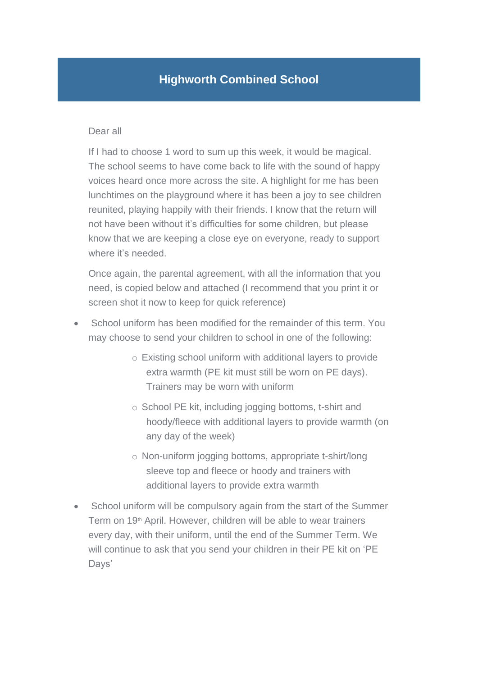## **Highworth Combined School**

#### Dear all

If I had to choose 1 word to sum up this week, it would be magical. The school seems to have come back to life with the sound of happy voices heard once more across the site. A highlight for me has been lunchtimes on the playground where it has been a joy to see children reunited, playing happily with their friends. I know that the return will not have been without it's difficulties for some children, but please know that we are keeping a close eye on everyone, ready to support where it's needed.

Once again, the parental agreement, with all the information that you need, is copied below and attached (I recommend that you print it or screen shot it now to keep for quick reference)

- School uniform has been modified for the remainder of this term. You may choose to send your children to school in one of the following:
	- o Existing school uniform with additional layers to provide extra warmth (PE kit must still be worn on PE days). Trainers may be worn with uniform
	- o School PE kit, including jogging bottoms, t-shirt and hoody/fleece with additional layers to provide warmth (on any day of the week)
	- o Non-uniform jogging bottoms, appropriate t-shirt/long sleeve top and fleece or hoody and trainers with additional layers to provide extra warmth
- School uniform will be compulsory again from the start of the Summer Term on 19<sup>th</sup> April. However, children will be able to wear trainers every day, with their uniform, until the end of the Summer Term. We will continue to ask that you send your children in their PE kit on 'PE Days'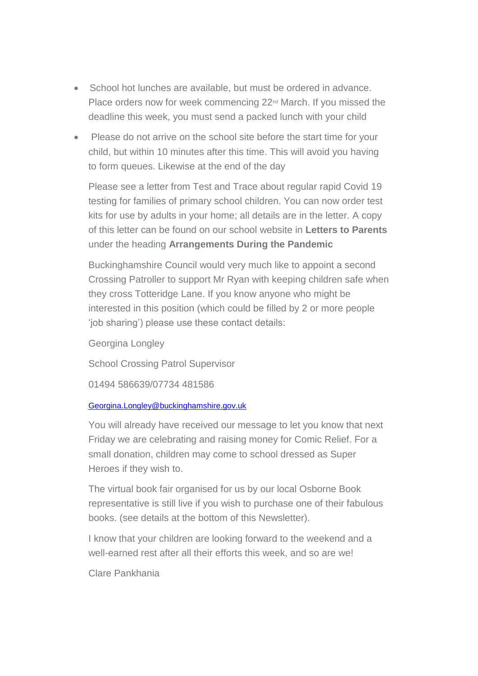- School hot lunches are available, but must be ordered in advance. Place orders now for week commencing 22<sup>nd</sup> March. If you missed the deadline this week, you must send a packed lunch with your child
- Please do not arrive on the school site before the start time for your child, but within 10 minutes after this time. This will avoid you having to form queues. Likewise at the end of the day

Please see a letter from Test and Trace about regular rapid Covid 19 testing for families of primary school children. You can now order test kits for use by adults in your home; all details are in the letter. A copy of this letter can be found on our school website in **Letters to Parents** under the heading **Arrangements During the Pandemic**

Buckinghamshire Council would very much like to appoint a second Crossing Patroller to support Mr Ryan with keeping children safe when they cross Totteridge Lane. If you know anyone who might be interested in this position (which could be filled by 2 or more people 'job sharing') please use these contact details:

Georgina Longley

School Crossing Patrol Supervisor

01494 586639/07734 481586

### [Georgina.Longley@buckinghamshire.gov.uk](mailto:Georgina.Longley@buckinghamshire.gov.uk)

You will already have received our message to let you know that next Friday we are celebrating and raising money for Comic Relief. For a small donation, children may come to school dressed as Super Heroes if they wish to.

The virtual book fair organised for us by our local Osborne Book representative is still live if you wish to purchase one of their fabulous books. (see details at the bottom of this Newsletter).

I know that your children are looking forward to the weekend and a well-earned rest after all their efforts this week, and so are we!

Clare Pankhania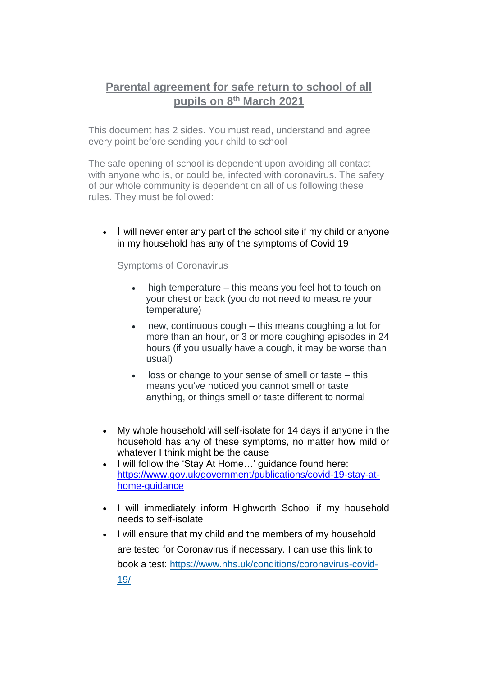# **Parental agreement for safe return to school of all pupils on 8th March 2021**

This document has 2 sides. You must read, understand and agree every point before sending your child to school

The safe opening of school is dependent upon avoiding all contact with anyone who is, or could be, infected with coronavirus. The safety of our whole community is dependent on all of us following these rules. They must be followed:

 $\cdot$  I will never enter any part of the school site if my child or anyone in my household has any of the symptoms of Covid 19

### Symptoms of Coronavirus

- high temperature this means you feel hot to touch on your chest or back (you do not need to measure your temperature)
- new, continuous cough this means coughing a lot for more than an hour, or 3 or more coughing episodes in 24 hours (if you usually have a cough, it may be worse than usual)
- loss or change to your sense of smell or taste this means you've noticed you cannot smell or taste anything, or things smell or taste different to normal
- My whole household will self-isolate for 14 days if anyone in the household has any of these symptoms, no matter how mild or whatever I think might be the cause
- I will follow the 'Stay At Home...' guidance found here: [https://www.gov.uk/government/publications/covid-19-stay-at](https://www.gov.uk/government/publications/covid-19-stay-at-home-guidance)[home-guidance](https://www.gov.uk/government/publications/covid-19-stay-at-home-guidance)
- I will immediately inform Highworth School if my household needs to self-isolate
- I will ensure that my child and the members of my household are tested for Coronavirus if necessary. I can use this link to book a test: [https://www.nhs.uk/conditions/coronavirus-covid-](https://www.nhs.uk/conditions/coronavirus-covid-19/)[19/](https://www.nhs.uk/conditions/coronavirus-covid-19/)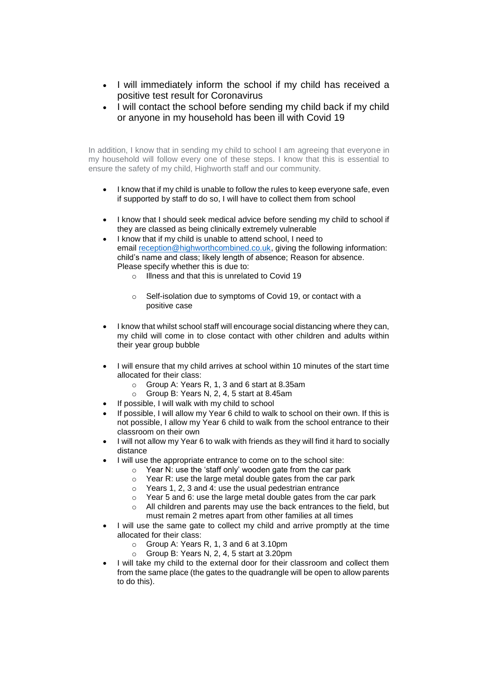- I will immediately inform the school if my child has received a positive test result for Coronavirus
- I will contact the school before sending my child back if my child or anyone in my household has been ill with Covid 19

In addition, I know that in sending my child to school I am agreeing that everyone in my household will follow every one of these steps. I know that this is essential to ensure the safety of my child, Highworth staff and our community.

- I know that if my child is unable to follow the rules to keep everyone safe, even if supported by staff to do so, I will have to collect them from school
- I know that I should seek medical advice before sending my child to school if they are classed as being clinically extremely vulnerable
- I know that if my child is unable to attend school, I need to email [reception@highworthcombined.co.uk,](mailto:reception@highworthcombined.co.uk) giving the following information: child's name and class; likely length of absence; Reason for absence. Please specify whether this is due to:
	- o Illness and that this is unrelated to Covid 19
	- o Self-isolation due to symptoms of Covid 19, or contact with a positive case
- I know that whilst school staff will encourage social distancing where they can, my child will come in to close contact with other children and adults within their year group bubble
- I will ensure that my child arrives at school within 10 minutes of the start time allocated for their class:
	- o Group A: Years R, 1, 3 and 6 start at 8.35am
	- o Group B: Years N, 2, 4, 5 start at 8.45am
	- If possible, I will walk with my child to school
- If possible, I will allow my Year 6 child to walk to school on their own. If this is not possible, I allow my Year 6 child to walk from the school entrance to their classroom on their own
- I will not allow my Year 6 to walk with friends as they will find it hard to socially distance
- I will use the appropriate entrance to come on to the school site:
	- o Year N: use the 'staff only' wooden gate from the car park
	- o Year R: use the large metal double gates from the car park
	- o Years 1, 2, 3 and 4: use the usual pedestrian entrance
	- $\circ$  Year 5 and 6: use the large metal double gates from the car park
	- o All children and parents may use the back entrances to the field, but must remain 2 metres apart from other families at all times
- I will use the same gate to collect my child and arrive promptly at the time allocated for their class:
	- o Group A: Years R, 1, 3 and 6 at 3.10pm
	- o Group B: Years N, 2, 4, 5 start at 3.20pm
- I will take my child to the external door for their classroom and collect them from the same place (the gates to the quadrangle will be open to allow parents to do this).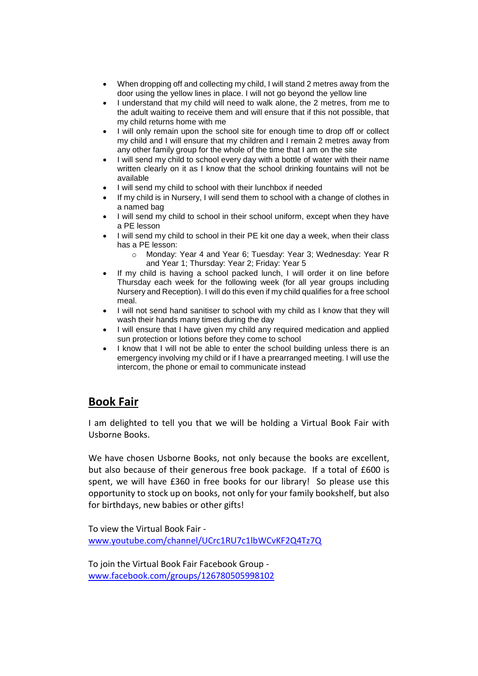- When dropping off and collecting my child, I will stand 2 metres away from the door using the yellow lines in place. I will not go beyond the yellow line
- I understand that my child will need to walk alone, the 2 metres, from me to the adult waiting to receive them and will ensure that if this not possible, that my child returns home with me
- I will only remain upon the school site for enough time to drop off or collect my child and I will ensure that my children and I remain 2 metres away from any other family group for the whole of the time that I am on the site
- I will send my child to school every day with a bottle of water with their name written clearly on it as I know that the school drinking fountains will not be available
- I will send my child to school with their lunchbox if needed
- If my child is in Nursery, I will send them to school with a change of clothes in a named bag
- I will send my child to school in their school uniform, except when they have a PE lesson
- I will send my child to school in their PE kit one day a week, when their class has a PE lesson:
	- o Monday: Year 4 and Year 6; Tuesday: Year 3; Wednesday: Year R and Year 1; Thursday: Year 2; Friday: Year 5
- If my child is having a school packed lunch, I will order it on line before Thursday each week for the following week (for all year groups including Nursery and Reception). I will do this even if my child qualifies for a free school meal.
- I will not send hand sanitiser to school with my child as I know that they will wash their hands many times during the day
- I will ensure that I have given my child any required medication and applied sun protection or lotions before they come to school
- I know that I will not be able to enter the school building unless there is an emergency involving my child or if I have a prearranged meeting. I will use the intercom, the phone or email to communicate instead

### **Book Fair**

I am delighted to tell you that we will be holding a Virtual Book Fair with Usborne Books.

We have chosen Usborne Books, not only because the books are excellent, but also because of their generous free book package. If a total of £600 is spent, we will have £360 in free books for our library! So please use this opportunity to stock up on books, not only for your family bookshelf, but also for birthdays, new babies or other gifts!

To view the Virtual Book Fair [www.youtube.com/channel/UCrc1RU7c1lbWCvKF2Q4Tz7Q](http://www.youtube.com/channel/UCrc1RU7c1lbWCvKF2Q4Tz7Q) 

To join the Virtual Book Fair Facebook Group www.facebook.com/groups/126780505998102